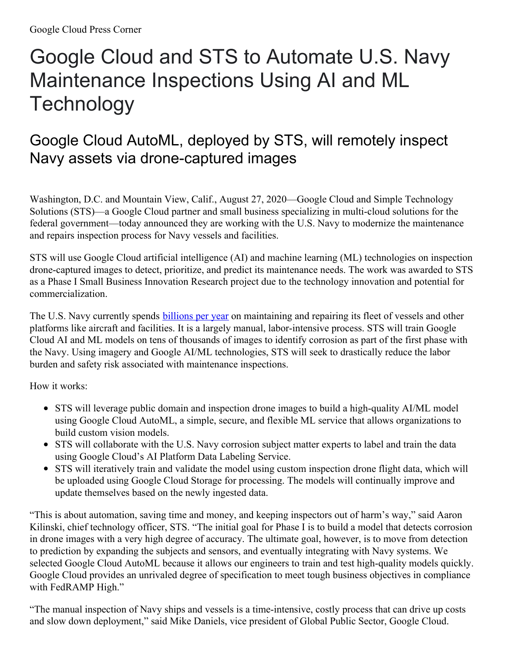## Google Cloud and STS to Automate U.S. Navy Maintenance Inspections Using AI and ML **Technology**

## Google Cloud AutoML, deployed by STS, will remotely inspect Navy assets via drone-captured images

Washington, D.C. and Mountain View, Calif., August 27, 2020—Google Cloud and Simple Technology Solutions (STS)—a Google Cloud partner and small business specializing in multi-cloud solutions for the federal government—today announced they are working with the U.S. Navy to modernize the maintenance and repairs inspection process for Navy vessels and facilities.

STS will use Google Cloud artificial intelligence (AI) and machine learning (ML) technologies on inspection drone-captured images to detect, prioritize, and predict its maintenance needs. The work was awarded to STS as a Phase I Small Business Innovation Research project due to the technology innovation and potential for commercialization.

The U.S. Navy currently spends **[billions](https://www.popularmechanics.com/military/navy-ships/a30522792/navy-fighting-rust/) per year** on maintaining and repairing its fleet of vessels and other platforms like aircraft and facilities. It is a largely manual, labor-intensive process. STS will train Google Cloud AI and ML models on tens of thousands of images to identify corrosion as part of the first phase with the Navy. Using imagery and Google AI/ML technologies, STS will seek to drastically reduce the labor burden and safety risk associated with maintenance inspections.

How it works:

- STS will leverage public domain and inspection drone images to build a high-quality AI/ML model using Google Cloud AutoML, a simple, secure, and flexible ML service that allows organizations to build custom vision models.
- STS will collaborate with the U.S. Navy corrosion subject matter experts to label and train the data using Google Cloud's AI Platform Data Labeling Service.
- STS will iteratively train and validate the model using custom inspection drone flight data, which will be uploaded using Google Cloud Storage for processing. The models will continually improve and update themselves based on the newly ingested data.

"This is about automation, saving time and money, and keeping inspectors out of harm's way," said Aaron Kilinski, chief technology officer, STS. "The initial goal for Phase I is to build a model that detects corrosion in drone images with a very high degree of accuracy. The ultimate goal, however, is to move from detection to prediction by expanding the subjects and sensors, and eventually integrating with Navy systems. We selected Google Cloud AutoML because it allows our engineers to train and test high-quality models quickly. Google Cloud provides an unrivaled degree of specification to meet tough business objectives in compliance with FedRAMP High."

"The manual inspection of Navy ships and vessels is a time-intensive, costly process that can drive up costs and slow down deployment," said Mike Daniels, vice president of Global Public Sector, Google Cloud.